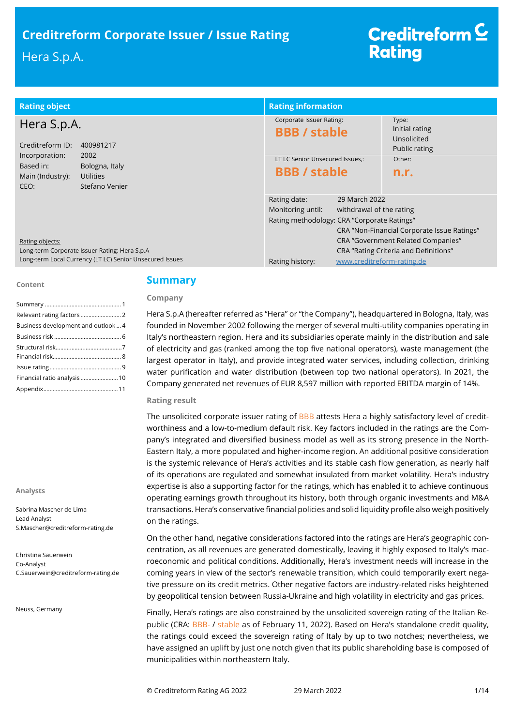## **Creditreform Corporate Issuer / Issue Rating**

## Hera S.p.A.

## Creditreform<sup>C</sup> **Rating**

| <b>Rating object</b>                                                                          | <b>Rating information</b>                       |                                                         |
|-----------------------------------------------------------------------------------------------|-------------------------------------------------|---------------------------------------------------------|
| Hera S.p.A.<br>Creditreform ID:<br>400981217                                                  | Corporate Issuer Rating:<br><b>BBB / stable</b> | Type:<br>Initial rating<br>Unsolicited<br>Public rating |
| Incorporation:<br>2002                                                                        | LT LC Senior Unsecured Issues.:                 | Other:                                                  |
| Based in:<br>Bologna, Italy<br>Main (Industry):<br><b>Utilities</b><br>Stefano Venier<br>CEO: | <b>BBB</b> / stable                             | n.r.                                                    |
|                                                                                               | Rating date:<br>29 March 2022                   |                                                         |
|                                                                                               | Monitoring until:<br>withdrawal of the rating   |                                                         |
|                                                                                               | Rating methodology: CRA "Corporate Ratings"     |                                                         |
|                                                                                               |                                                 | CRA "Non-Financial Corporate Issue Ratings"             |
| Rating objects:                                                                               |                                                 | <b>CRA "Government Related Companies"</b>               |
| Long-term Corporate Issuer Rating: Hera S.p.A                                                 |                                                 | CRA "Rating Criteria and Definitions"                   |
| Long-term Local Currency (LT LC) Senior Unsecured Issues                                      | www.creditreform-rating.de<br>Rating history:   |                                                         |

#### **Content**

| Business development and outlook  4 |
|-------------------------------------|
|                                     |
|                                     |
|                                     |
|                                     |
| Financial ratio analysis  10        |
|                                     |

#### **Analysts**

Sabrina Mascher de Lima Lead Analyst S.Mascher@creditreform-rating.de

Christina Sauerwein Co-Analyst C.Sauerwein@creditreform-rating.de

Neuss, Germany

## **Summary**

### **Company**

Hera S.p.A (hereafter referred as "Hera" or "the Company"), headquartered in Bologna, Italy, was founded in November 2002 following the merger of several multi-utility companies operating in Italy's northeastern region. Hera and its subsidiaries operate mainly in the distribution and sale of electricity and gas (ranked among the top five national operators), waste management (the largest operator in Italy), and provide integrated water services, including collection, drinking water purification and water distribution (between top two national operators). In 2021, the Company generated net revenues of EUR 8,597 million with reported EBITDA margin of 14%.

### **Rating result**

The unsolicited corporate issuer rating of BBB attests Hera a highly satisfactory level of creditworthiness and a low-to-medium default risk. Key factors included in the ratings are the Company's integrated and diversified business model as well as its strong presence in the North-Eastern Italy, a more populated and higher-income region. An additional positive consideration is the systemic relevance of Hera's activities and its stable cash flow generation, as nearly half of its operations are regulated and somewhat insulated from market volatility. Hera's industry expertise is also a supporting factor for the ratings, which has enabled it to achieve continuous operating earnings growth throughout its history, both through organic investments and M&A transactions. Hera's conservative financial policies and solid liquidity profile also weigh positively on the ratings.

On the other hand, negative considerations factored into the ratings are Hera's geographic concentration, as all revenues are generated domestically, leaving it highly exposed to Italy's macroeconomic and political conditions. Additionally, Hera's investment needs will increase in the coming years in view of the sector's renewable transition, which could temporarily exert negative pressure on its credit metrics. Other negative factors are industry-related risks heightened by geopolitical tension between Russia-Ukraine and high volatility in electricity and gas prices.

Finally, Hera's ratings are also constrained by the unsolicited sovereign rating of the Italian Republic (CRA: BBB- / stable as of February 11, 2022). Based on Hera's standalone credit quality, the ratings could exceed the sovereign rating of Italy by up to two notches; nevertheless, we have assigned an uplift by just one notch given that its public shareholding base is composed of municipalities within northeastern Italy.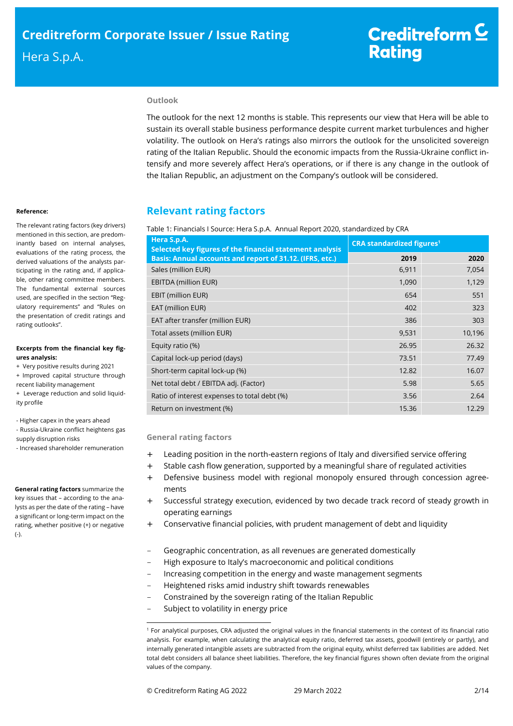### **Outlook**

The outlook for the next 12 months is stable. This represents our view that Hera will be able to sustain its overall stable business performance despite current market turbulences and higher volatility. The outlook on Hera's ratings also mirrors the outlook for the unsolicited sovereign rating of the Italian Republic. Should the economic impacts from the Russia-Ukraine conflict intensify and more severely affect Hera's operations, or if there is any change in the outlook of the Italian Republic, an adjustment on the Company's outlook will be considered.

The relevant rating factors (key drivers) mentioned in this section, are predominantly based on internal analyses, evaluations of the rating process, the derived valuations of the analysts participating in the rating and, if applicable, other rating committee members. The fundamental external sources used, are specified in the section "Regulatory requirements" and "Rules on the presentation of credit ratings and rating outlooks".

**Reference:** 

### **Excerpts from the financial key figures analysis:**

+ Very positive results during 2021

+ Improved capital structure through recent liability management

+ Leverage reduction and solid liquidity profile

- Higher capex in the years ahead

- Russia-Ukraine conflict heightens gas supply disruption risks

- Increased shareholder remuneration

**General rating factors** summarize the key issues that – according to the analysts as per the date of the rating – have a significant or long-term impact on the rating, whether positive (+) or negative (-).

## **Relevant rating factors**

### Table 1: Financials I Source: Hera S.p.A. Annual Report 2020, standardized by CRA

| Hera S.p.A.<br>Selected key figures of the financial statement analysis | <b>CRA standardized figures<sup>1</sup></b> |        |  |
|-------------------------------------------------------------------------|---------------------------------------------|--------|--|
| Basis: Annual accounts and report of 31.12. (IFRS, etc.)                | 2019                                        | 2020   |  |
| Sales (million EUR)                                                     | 6,911                                       | 7,054  |  |
| <b>EBITDA (million EUR)</b>                                             | 1,090                                       | 1,129  |  |
| <b>EBIT (million EUR)</b>                                               | 654                                         | 551    |  |
| EAT (million EUR)                                                       | 402                                         | 323    |  |
| EAT after transfer (million EUR)                                        | 386                                         | 303    |  |
| Total assets (million EUR)                                              | 9,531                                       | 10,196 |  |
| Equity ratio (%)                                                        | 26.95                                       | 26.32  |  |
| Capital lock-up period (days)                                           | 73.51                                       | 77.49  |  |
| Short-term capital lock-up (%)                                          | 12.82                                       | 16.07  |  |
| Net total debt / EBITDA adj. (Factor)                                   | 5.98                                        | 5.65   |  |
| Ratio of interest expenses to total debt (%)                            | 3.56                                        | 2.64   |  |
| Return on investment (%)                                                | 15.36                                       | 12.29  |  |

### **General rating factors**

- + Leading position in the north-eastern regions of Italy and diversified service offering
- + Stable cash flow generation, supported by a meaningful share of regulated activities
- + Defensive business model with regional monopoly ensured through concession agreements
- + Successful strategy execution, evidenced by two decade track record of steady growth in operating earnings
- + Conservative financial policies, with prudent management of debt and liquidity
- Geographic concentration, as all revenues are generated domestically
- High exposure to Italy's macroeconomic and political conditions
- Increasing competition in the energy and waste management segments
- Heightened risks amid industry shift towards renewables
- Constrained by the sovereign rating of the Italian Republic
- Subject to volatility in energy price

j

<sup>1</sup> For analytical purposes, CRA adjusted the original values in the financial statements in the context of its financial ratio analysis. For example, when calculating the analytical equity ratio, deferred tax assets, goodwill (entirely or partly), and internally generated intangible assets are subtracted from the original equity, whilst deferred tax liabilities are added. Net total debt considers all balance sheet liabilities. Therefore, the key financial figures shown often deviate from the original values of the company.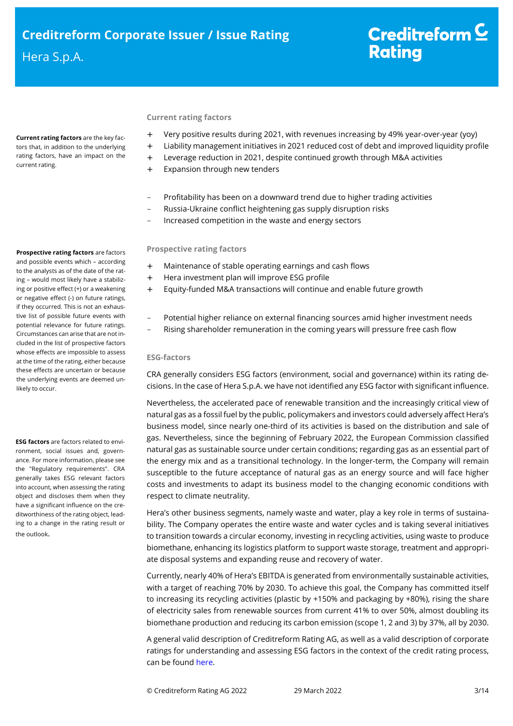**Current rating factors** are the key factors that, in addition to the underlying rating factors, have an impact on the current rating.

## **Current rating factors**

- + Very positive results during 2021, with revenues increasing by 49% year-over-year (yoy)
- + Liability management initiatives in 2021 reduced cost of debt and improved liquidity profile
- + Leverage reduction in 2021, despite continued growth through M&A activities
- + Expansion through new tenders
- Profitability has been on a downward trend due to higher trading activities
- Russia-Ukraine conflict heightening gas supply disruption risks
- Increased competition in the waste and energy sectors

### **Prospective rating factors**

- + Maintenance of stable operating earnings and cash flows
- + Hera investment plan will improve ESG profile
- + Equity-funded M&A transactions will continue and enable future growth
	- Potential higher reliance on external financing sources amid higher investment needs
- Rising shareholder remuneration in the coming years will pressure free cash flow

### **ESG-factors**

CRA generally considers ESG factors (environment, social and governance) within its rating decisions. In the case of Hera S.p.A. we have not identified any ESG factor with significant influence.

Nevertheless, the accelerated pace of renewable transition and the increasingly critical view of natural gas as a fossil fuel by the public, policymakers and investors could adversely affect Hera's business model, since nearly one-third of its activities is based on the distribution and sale of gas. Nevertheless, since the beginning of February 2022, the European Commission classified natural gas as sustainable source under certain conditions; regarding gas as an essential part of the energy mix and as a transitional technology. In the longer-term, the Company will remain susceptible to the future acceptance of natural gas as an energy source and will face higher costs and investments to adapt its business model to the changing economic conditions with respect to climate neutrality.

Hera's other business segments, namely waste and water, play a key role in terms of sustainability. The Company operates the entire waste and water cycles and is taking several initiatives to transition towards a circular economy, investing in recycling activities, using waste to produce biomethane, enhancing its logistics platform to support waste storage, treatment and appropriate disposal systems and expanding reuse and recovery of water.

Currently, nearly 40% of Hera's EBITDA is generated from environmentally sustainable activities, with a target of reaching 70% by 2030. To achieve this goal, the Company has committed itself to increasing its recycling activities (plastic by +150% and packaging by +80%), rising the share of electricity sales from renewable sources from current 41% to over 50%, almost doubling its biomethane production and reducing its carbon emission (scope 1, 2 and 3) by 37%, all by 2030.

A general valid description of Creditreform Rating AG, as well as a valid description of corporate ratings for understanding and assessing ESG factors in the context of the credit rating process, can be found here.

**Prospective rating factors** are factors and possible events which – according to the analysts as of the date of the rating – would most likely have a stabilizing or positive effect (+) or a weakening or negative effect (-) on future ratings, if they occurred. This is not an exhaustive list of possible future events with potential relevance for future ratings. Circumstances can arise that are not included in the list of prospective factors whose effects are impossible to assess at the time of the rating, either because these effects are uncertain or because the underlying events are deemed unlikely to occur.

**ESG factors** are factors related to environment, social issues and, governance. For more information, please see the "Regulatory requirements". CRA generally takes ESG relevant factors into account, when assessing the rating object and discloses them when they have a significant influence on the creditworthiness of the rating object, leading to a change in the rating result or the outlook.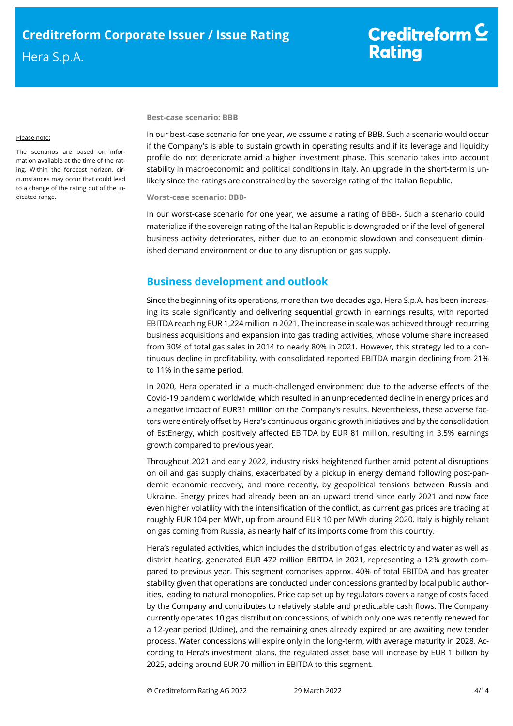#### Please note:

The scenarios are based on information available at the time of the rating. Within the forecast horizon, circumstances may occur that could lead to a change of the rating out of the indicated range.

### **Best-case scenario: BBB**

In our best-case scenario for one year, we assume a rating of BBB. Such a scenario would occur if the Company's is able to sustain growth in operating results and if its leverage and liquidity profile do not deteriorate amid a higher investment phase. This scenario takes into account stability in macroeconomic and political conditions in Italy. An upgrade in the short-term is unlikely since the ratings are constrained by the sovereign rating of the Italian Republic.

**Worst-case scenario: BBB-**

In our worst-case scenario for one year, we assume a rating of BBB-. Such a scenario could materialize if the sovereign rating of the Italian Republic is downgraded or if the level of general business activity deteriorates, either due to an economic slowdown and consequent diminished demand environment or due to any disruption on gas supply.

### **Business development and outlook**

Since the beginning of its operations, more than two decades ago, Hera S.p.A. has been increasing its scale significantly and delivering sequential growth in earnings results, with reported EBITDA reaching EUR 1,224 million in 2021. The increase in scale was achieved through recurring business acquisitions and expansion into gas trading activities, whose volume share increased from 30% of total gas sales in 2014 to nearly 80% in 2021. However, this strategy led to a continuous decline in profitability, with consolidated reported EBITDA margin declining from 21% to 11% in the same period.

In 2020, Hera operated in a much-challenged environment due to the adverse effects of the Covid-19 pandemic worldwide, which resulted in an unprecedented decline in energy prices and a negative impact of EUR31 million on the Company's results. Nevertheless, these adverse factors were entirely offset by Hera's continuous organic growth initiatives and by the consolidation of EstEnergy, which positively affected EBITDA by EUR 81 million, resulting in 3.5% earnings growth compared to previous year.

Throughout 2021 and early 2022, industry risks heightened further amid potential disruptions on oil and gas supply chains, exacerbated by a pickup in energy demand following post-pandemic economic recovery, and more recently, by geopolitical tensions between Russia and Ukraine. Energy prices had already been on an upward trend since early 2021 and now face even higher volatility with the intensification of the conflict, as current gas prices are trading at roughly EUR 104 per MWh, up from around EUR 10 per MWh during 2020. Italy is highly reliant on gas coming from Russia, as nearly half of its imports come from this country.

Hera's regulated activities, which includes the distribution of gas, electricity and water as well as district heating, generated EUR 472 million EBITDA in 2021, representing a 12% growth compared to previous year. This segment comprises approx. 40% of total EBITDA and has greater stability given that operations are conducted under concessions granted by local public authorities, leading to natural monopolies. Price cap set up by regulators covers a range of costs faced by the Company and contributes to relatively stable and predictable cash flows. The Company currently operates 10 gas distribution concessions, of which only one was recently renewed for a 12-year period (Udine), and the remaining ones already expired or are awaiting new tender process. Water concessions will expire only in the long-term, with average maturity in 2028. According to Hera's investment plans, the regulated asset base will increase by EUR 1 billion by 2025, adding around EUR 70 million in EBITDA to this segment.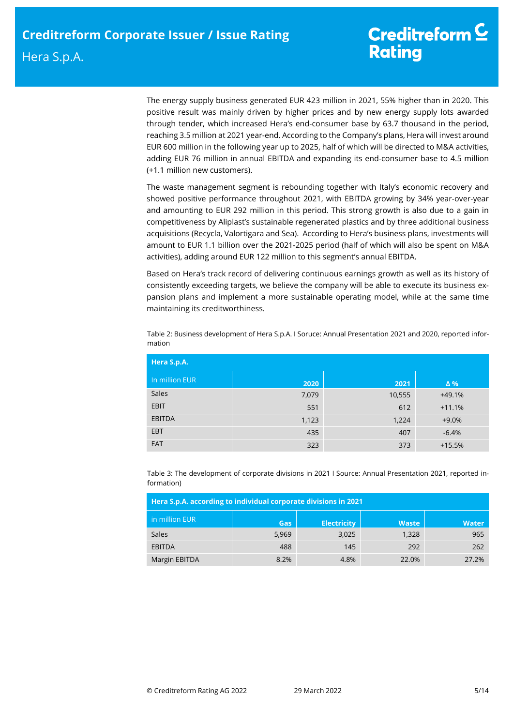The energy supply business generated EUR 423 million in 2021, 55% higher than in 2020. This positive result was mainly driven by higher prices and by new energy supply lots awarded through tender, which increased Hera's end-consumer base by 63.7 thousand in the period, reaching 3.5 million at 2021 year-end. According to the Company's plans, Hera will invest around EUR 600 million in the following year up to 2025, half of which will be directed to M&A activities, adding EUR 76 million in annual EBITDA and expanding its end-consumer base to 4.5 million (+1.1 million new customers).

The waste management segment is rebounding together with Italy's economic recovery and showed positive performance throughout 2021, with EBITDA growing by 34% year-over-year and amounting to EUR 292 million in this period. This strong growth is also due to a gain in competitiveness by Aliplast's sustainable regenerated plastics and by three additional business acquisitions (Recycla, Valortigara and Sea). According to Hera's business plans, investments will amount to EUR 1.1 billion over the 2021-2025 period (half of which will also be spent on M&A activities), adding around EUR 122 million to this segment's annual EBITDA.

Based on Hera's track record of delivering continuous earnings growth as well as its history of consistently exceeding targets, we believe the company will be able to execute its business expansion plans and implement a more sustainable operating model, while at the same time maintaining its creditworthiness.

| Hera S.p.A.    |       |        |            |
|----------------|-------|--------|------------|
| In million EUR | 2020  | 2021   | $\Delta$ % |
| Sales          | 7,079 | 10,555 | $+49.1%$   |
| <b>EBIT</b>    | 551   | 612    | $+11.1%$   |
| <b>EBITDA</b>  | 1,123 | 1,224  | $+9.0%$    |
| <b>EBT</b>     | 435   | 407    | $-6.4%$    |
| EAT            | 323   | 373    | $+15.5%$   |

Table 2: Business development of Hera S.p.A. I Soruce: Annual Presentation 2021 and 2020, reported information

Table 3: The development of corporate divisions in 2021 I Source: Annual Presentation 2021, reported information)

| Hera S.p.A. according to individual corporate divisions in 2021 |            |                    |              |              |
|-----------------------------------------------------------------|------------|--------------------|--------------|--------------|
| in million EUR                                                  | <b>Gas</b> | <b>Electricity</b> | <b>Waste</b> | <b>Water</b> |
| Sales                                                           | 5,969      | 3,025              | 1,328        | 965          |
| <b>EBITDA</b>                                                   | 488        | 145                | 292          | 262          |
| Margin EBITDA                                                   | 8.2%       | 4.8%               | 22.0%        | 27.2%        |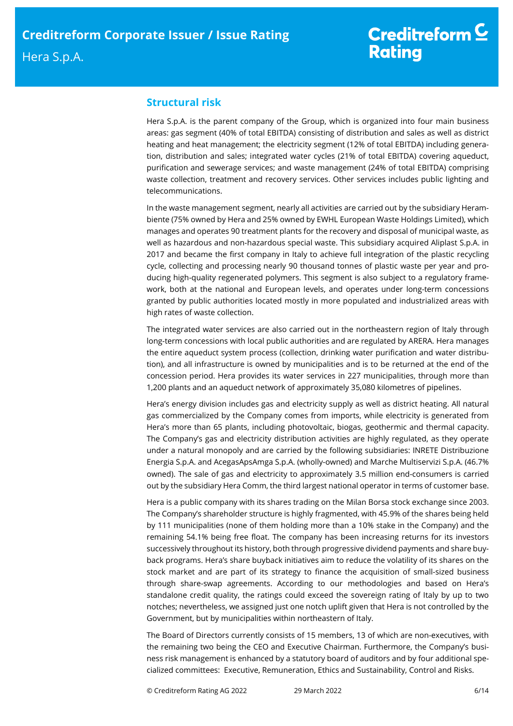### **Structural risk**

Hera S.p.A. is the parent company of the Group, which is organized into four main business areas: gas segment (40% of total EBITDA) consisting of distribution and sales as well as district heating and heat management; the electricity segment (12% of total EBITDA) including generation, distribution and sales; integrated water cycles (21% of total EBITDA) covering aqueduct, purification and sewerage services; and waste management (24% of total EBITDA) comprising waste collection, treatment and recovery services. Other services includes public lighting and telecommunications.

In the waste management segment, nearly all activities are carried out by the subsidiary Herambiente (75% owned by Hera and 25% owned by EWHL European Waste Holdings Limited), which manages and operates 90 treatment plants for the recovery and disposal of municipal waste, as well as hazardous and non-hazardous special waste. This subsidiary acquired Aliplast S.p.A. in 2017 and became the first company in Italy to achieve full integration of the plastic recycling cycle, collecting and processing nearly 90 thousand tonnes of plastic waste per year and producing high-quality regenerated polymers. This segment is also subject to a regulatory framework, both at the national and European levels, and operates under long-term concessions granted by public authorities located mostly in more populated and industrialized areas with high rates of waste collection.

The integrated water services are also carried out in the northeastern region of Italy through long-term concessions with local public authorities and are regulated by ARERA. Hera manages the entire aqueduct system process (collection, drinking water purification and water distribution), and all infrastructure is owned by municipalities and is to be returned at the end of the concession period. Hera provides its water services in 227 municipalities, through more than 1,200 plants and an aqueduct network of approximately 35,080 kilometres of pipelines.

Hera's energy division includes gas and electricity supply as well as district heating. All natural gas commercialized by the Company comes from imports, while electricity is generated from Hera's more than 65 plants, including photovoltaic, biogas, geothermic and thermal capacity. The Company's gas and electricity distribution activities are highly regulated, as they operate under a natural monopoly and are carried by the following subsidiaries: INRETE Distribuzione Energia S.p.A. and AcegasApsAmga S.p.A. (wholly-owned) and Marche Multiservizi S.p.A. (46.7% owned). The sale of gas and electricity to approximately 3.5 million end-consumers is carried out by the subsidiary Hera Comm, the third largest national operator in terms of customer base.

Hera is a public company with its shares trading on the Milan Borsa stock exchange since 2003. The Company's shareholder structure is highly fragmented, with 45.9% of the shares being held by 111 municipalities (none of them holding more than a 10% stake in the Company) and the remaining 54.1% being free float. The company has been increasing returns for its investors successively throughout its history, both through progressive dividend payments and share buyback programs. Hera's share buyback initiatives aim to reduce the volatility of its shares on the stock market and are part of its strategy to finance the acquisition of small-sized business through share-swap agreements. According to our methodologies and based on Hera's standalone credit quality, the ratings could exceed the sovereign rating of Italy by up to two notches; nevertheless, we assigned just one notch uplift given that Hera is not controlled by the Government, but by municipalities within northeastern of Italy.

The Board of Directors currently consists of 15 members, 13 of which are non-executives, with the remaining two being the CEO and Executive Chairman. Furthermore, the Company's business risk management is enhanced by a statutory board of auditors and by four additional specialized committees: Executive, Remuneration, Ethics and Sustainability, Control and Risks.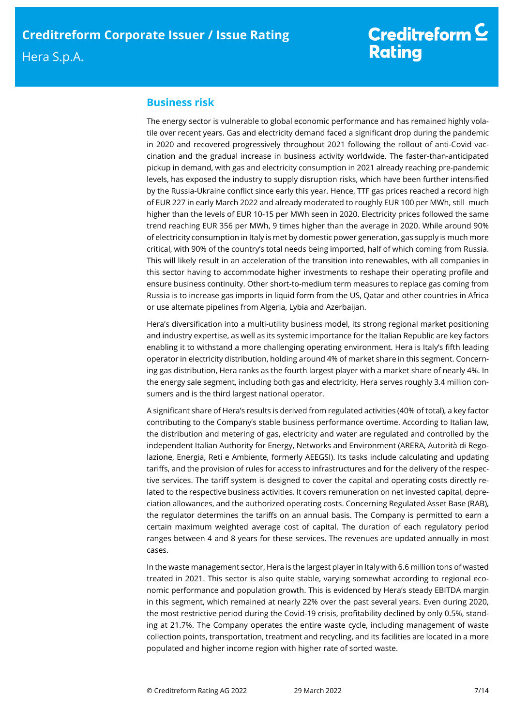### **Business risk**

The energy sector is vulnerable to global economic performance and has remained highly volatile over recent years. Gas and electricity demand faced a significant drop during the pandemic in 2020 and recovered progressively throughout 2021 following the rollout of anti-Covid vaccination and the gradual increase in business activity worldwide. The faster-than-anticipated pickup in demand, with gas and electricity consumption in 2021 already reaching pre-pandemic levels, has exposed the industry to supply disruption risks, which have been further intensified by the Russia-Ukraine conflict since early this year. Hence, TTF gas prices reached a record high of EUR 227 in early March 2022 and already moderated to roughly EUR 100 per MWh, still much higher than the levels of EUR 10-15 per MWh seen in 2020. Electricity prices followed the same trend reaching EUR 356 per MWh, 9 times higher than the average in 2020. While around 90% of electricity consumption in Italy is met by domestic power generation, gas supply is much more critical, with 90% of the country's total needs being imported, half of which coming from Russia. This will likely result in an acceleration of the transition into renewables, with all companies in this sector having to accommodate higher investments to reshape their operating profile and ensure business continuity. Other short-to-medium term measures to replace gas coming from Russia is to increase gas imports in liquid form from the US, Qatar and other countries in Africa or use alternate pipelines from Algeria, Lybia and Azerbaijan.

Hera's diversification into a multi-utility business model, its strong regional market positioning and industry expertise, as well as its systemic importance for the Italian Republic are key factors enabling it to withstand a more challenging operating environment. Hera is Italy's fifth leading operator in electricity distribution, holding around 4% of market share in this segment. Concerning gas distribution, Hera ranks as the fourth largest player with a market share of nearly 4%. In the energy sale segment, including both gas and electricity, Hera serves roughly 3.4 million consumers and is the third largest national operator.

A significant share of Hera's results is derived from regulated activities (40% of total), a key factor contributing to the Company's stable business performance overtime. According to Italian law, the distribution and metering of gas, electricity and water are regulated and controlled by the independent Italian Authority for Energy, Networks and Environment (ARERA, Autorità di Regolazione, Energia, Reti e Ambiente, formerly AEEGSI). Its tasks include calculating and updating tariffs, and the provision of rules for access to infrastructures and for the delivery of the respective services. The tariff system is designed to cover the capital and operating costs directly related to the respective business activities. It covers remuneration on net invested capital, depreciation allowances, and the authorized operating costs. Concerning Regulated Asset Base (RAB), the regulator determines the tariffs on an annual basis. The Company is permitted to earn a certain maximum weighted average cost of capital. The duration of each regulatory period ranges between 4 and 8 years for these services. The revenues are updated annually in most cases.

In the waste management sector, Hera is the largest player in Italy with 6.6 million tons of wasted treated in 2021. This sector is also quite stable, varying somewhat according to regional economic performance and population growth. This is evidenced by Hera's steady EBITDA margin in this segment, which remained at nearly 22% over the past several years. Even during 2020, the most restrictive period during the Covid-19 crisis, profitability declined by only 0.5%, standing at 21.7%. The Company operates the entire waste cycle, including management of waste collection points, transportation, treatment and recycling, and its facilities are located in a more populated and higher income region with higher rate of sorted waste.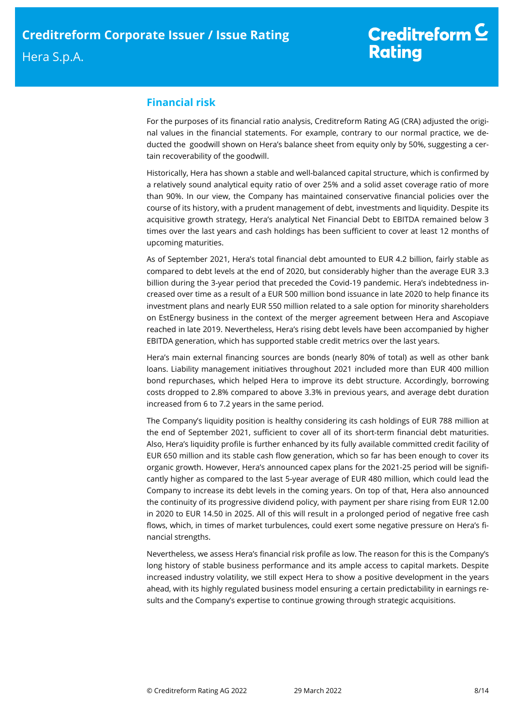### **Financial risk**

For the purposes of its financial ratio analysis, Creditreform Rating AG (CRA) adjusted the original values in the financial statements. For example, contrary to our normal practice, we deducted the goodwill shown on Hera's balance sheet from equity only by 50%, suggesting a certain recoverability of the goodwill.

Historically, Hera has shown a stable and well-balanced capital structure, which is confirmed by a relatively sound analytical equity ratio of over 25% and a solid asset coverage ratio of more than 90%. In our view, the Company has maintained conservative financial policies over the course of its history, with a prudent management of debt, investments and liquidity. Despite its acquisitive growth strategy, Hera's analytical Net Financial Debt to EBITDA remained below 3 times over the last years and cash holdings has been sufficient to cover at least 12 months of upcoming maturities.

As of September 2021, Hera's total financial debt amounted to EUR 4.2 billion, fairly stable as compared to debt levels at the end of 2020, but considerably higher than the average EUR 3.3 billion during the 3-year period that preceded the Covid-19 pandemic. Hera's indebtedness increased over time as a result of a EUR 500 million bond issuance in late 2020 to help finance its investment plans and nearly EUR 550 million related to a sale option for minority shareholders on EstEnergy business in the context of the merger agreement between Hera and Ascopiave reached in late 2019. Nevertheless, Hera's rising debt levels have been accompanied by higher EBITDA generation, which has supported stable credit metrics over the last years.

Hera's main external financing sources are bonds (nearly 80% of total) as well as other bank loans. Liability management initiatives throughout 2021 included more than EUR 400 million bond repurchases, which helped Hera to improve its debt structure. Accordingly, borrowing costs dropped to 2.8% compared to above 3.3% in previous years, and average debt duration increased from 6 to 7.2 years in the same period.

The Company's liquidity position is healthy considering its cash holdings of EUR 788 million at the end of September 2021, sufficient to cover all of its short-term financial debt maturities. Also, Hera's liquidity profile is further enhanced by its fully available committed credit facility of EUR 650 million and its stable cash flow generation, which so far has been enough to cover its organic growth. However, Hera's announced capex plans for the 2021-25 period will be significantly higher as compared to the last 5-year average of EUR 480 million, which could lead the Company to increase its debt levels in the coming years. On top of that, Hera also announced the continuity of its progressive dividend policy, with payment per share rising from EUR 12.00 in 2020 to EUR 14.50 in 2025. All of this will result in a prolonged period of negative free cash flows, which, in times of market turbulences, could exert some negative pressure on Hera's financial strengths.

Nevertheless, we assess Hera's financial risk profile as low. The reason for this is the Company's long history of stable business performance and its ample access to capital markets. Despite increased industry volatility, we still expect Hera to show a positive development in the years ahead, with its highly regulated business model ensuring a certain predictability in earnings results and the Company's expertise to continue growing through strategic acquisitions.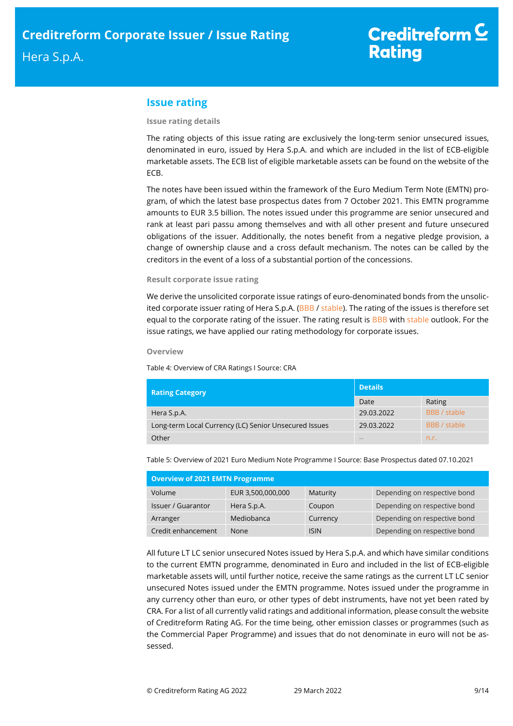### **Issue rating**

### **Issue rating details**

The rating objects of this issue rating are exclusively the long-term senior unsecured issues, denominated in euro, issued by Hera S.p.A. and which are included in the list of ECB-eligible marketable assets. The ECB list of eligible marketable assets can be found on the website of the ECB.

The notes have been issued within the framework of the Euro Medium Term Note (EMTN) program, of which the latest base prospectus dates from 7 October 2021. This EMTN programme amounts to EUR 3.5 billion. The notes issued under this programme are senior unsecured and rank at least pari passu among themselves and with all other present and future unsecured obligations of the issuer. Additionally, the notes benefit from a negative pledge provision, a change of ownership clause and a cross default mechanism. The notes can be called by the creditors in the event of a loss of a substantial portion of the concessions.

### **Result corporate issue rating**

We derive the unsolicited corporate issue ratings of euro-denominated bonds from the unsolicited corporate issuer rating of Hera S.p.A. (BBB / stable). The rating of the issues is therefore set equal to the corporate rating of the issuer. The rating result is BBB with stable outlook. For the issue ratings, we have applied our rating methodology for corporate issues.

#### **Overview**

Table 4: Overview of CRA Ratings I Source: CRA

| <b>Rating Category</b>                                | <b>Details</b> |                     |  |
|-------------------------------------------------------|----------------|---------------------|--|
|                                                       | Date           | Rating              |  |
| Hera S.p.A.                                           | 29.03.2022     | BBB / stable        |  |
| Long-term Local Currency (LC) Senior Unsecured Issues | 29.03.2022     | <b>BBB</b> / stable |  |
| Other                                                 | <b>COLOR</b>   | n.r.                |  |

Table 5: Overview of 2021 Euro Medium Note Programme I Source: Base Prospectus dated 07.10.2021

| <b>Overview of 2021 EMTN Programme</b> |                   |             |                              |
|----------------------------------------|-------------------|-------------|------------------------------|
| Volume                                 | EUR 3,500,000,000 | Maturity    | Depending on respective bond |
| Issuer / Guarantor                     | Hera S.p.A.       | Coupon      | Depending on respective bond |
| Arranger                               | Mediobanca        | Currency    | Depending on respective bond |
| Credit enhancement                     | None              | <b>ISIN</b> | Depending on respective bond |

All future LT LC senior unsecured Notes issued by Hera S.p.A. and which have similar conditions to the current EMTN programme, denominated in Euro and included in the list of ECB-eligible marketable assets will, until further notice, receive the same ratings as the current LT LC senior unsecured Notes issued under the EMTN programme. Notes issued under the programme in any currency other than euro, or other types of debt instruments, have not yet been rated by CRA. For a list of all currently valid ratings and additional information, please consult the website of Creditreform Rating AG. For the time being, other emission classes or programmes (such as the Commercial Paper Programme) and issues that do not denominate in euro will not be assessed.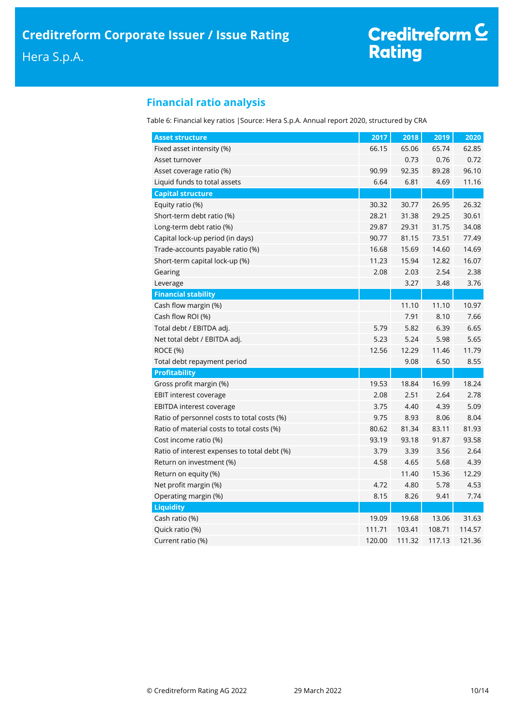## **Financial ratio analysis**

Table 6: Financial key ratios |Source: Hera S.p.A. Annual report 2020, structured by CRA

| <b>Asset structure</b>                       | 2017   | 2018   | 2019   | 2020   |
|----------------------------------------------|--------|--------|--------|--------|
| Fixed asset intensity (%)                    | 66.15  | 65.06  | 65.74  | 62.85  |
| Asset turnover                               |        | 0.73   | 0.76   | 0.72   |
| Asset coverage ratio (%)                     | 90.99  | 92.35  | 89.28  | 96.10  |
| Liquid funds to total assets                 | 6.64   | 6.81   | 4.69   | 11.16  |
| <b>Capital structure</b>                     |        |        |        |        |
| Equity ratio (%)                             | 30.32  | 30.77  | 26.95  | 26.32  |
| Short-term debt ratio (%)                    | 28.21  | 31.38  | 29.25  | 30.61  |
| Long-term debt ratio (%)                     | 29.87  | 29.31  | 31.75  | 34.08  |
| Capital lock-up period (in days)             | 90.77  | 81.15  | 73.51  | 77.49  |
| Trade-accounts payable ratio (%)             | 16.68  | 15.69  | 14.60  | 14.69  |
| Short-term capital lock-up (%)               | 11.23  | 15.94  | 12.82  | 16.07  |
| Gearing                                      | 2.08   | 2.03   | 2.54   | 2.38   |
| Leverage                                     |        | 3.27   | 3.48   | 3.76   |
| <b>Financial stability</b>                   |        |        |        |        |
| Cash flow margin (%)                         |        | 11.10  | 11.10  | 10.97  |
| Cash flow ROI (%)                            |        | 7.91   | 8.10   | 7.66   |
| Total debt / EBITDA adj.                     | 5.79   | 5.82   | 6.39   | 6.65   |
| Net total debt / EBITDA adj.                 | 5.23   | 5.24   | 5.98   | 5.65   |
| <b>ROCE (%)</b>                              | 12.56  | 12.29  | 11.46  | 11.79  |
| Total debt repayment period                  |        | 9.08   | 6.50   | 8.55   |
| <b>Profitability</b>                         |        |        |        |        |
| Gross profit margin (%)                      | 19.53  | 18.84  | 16.99  | 18.24  |
| <b>EBIT interest coverage</b>                | 2.08   | 2.51   | 2.64   | 2.78   |
| <b>EBITDA</b> interest coverage              | 3.75   | 4.40   | 4.39   | 5.09   |
| Ratio of personnel costs to total costs (%)  | 9.75   | 8.93   | 8.06   | 8.04   |
| Ratio of material costs to total costs (%)   | 80.62  | 81.34  | 83.11  | 81.93  |
| Cost income ratio (%)                        | 93.19  | 93.18  | 91.87  | 93.58  |
| Ratio of interest expenses to total debt (%) | 3.79   | 3.39   | 3.56   | 2.64   |
| Return on investment (%)                     | 4.58   | 4.65   | 5.68   | 4.39   |
| Return on equity (%)                         |        | 11.40  | 15.36  | 12.29  |
| Net profit margin (%)                        | 4.72   | 4.80   | 5.78   | 4.53   |
| Operating margin (%)                         | 8.15   | 8.26   | 9.41   | 7.74   |
| <b>Liquidity</b>                             |        |        |        |        |
| Cash ratio (%)                               | 19.09  | 19.68  | 13.06  | 31.63  |
| Quick ratio (%)                              | 111.71 | 103.41 | 108.71 | 114.57 |
| Current ratio (%)                            | 120.00 | 111.32 | 117.13 | 121.36 |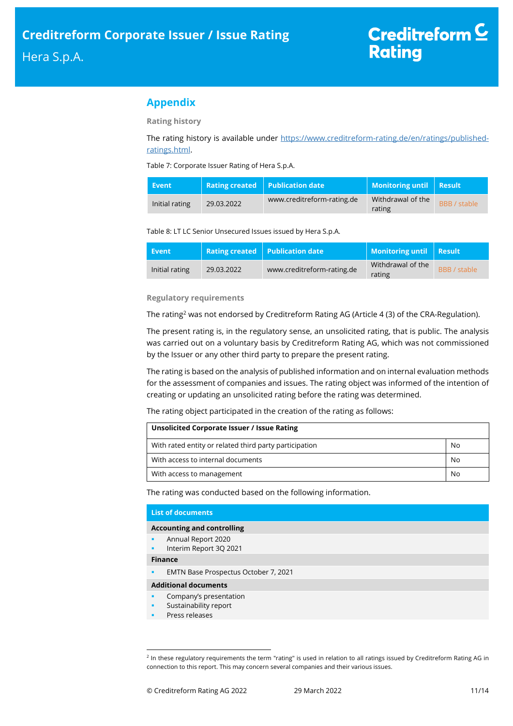### **Appendix**

**Rating history** 

The rating history is available under https://www.creditreform-rating.de/en/ratings/publishedratings.html.

Table 7: Corporate Issuer Rating of Hera S.p.A.

| Event          |            | Rating created   Publication date | Monitoring until Result     |              |
|----------------|------------|-----------------------------------|-----------------------------|--------------|
| Initial rating | 29.03.2022 | www.creditreform-rating.de        | Withdrawal of the<br>rating | BBB / stable |

### Table 8: LT LC Senior Unsecured Issues issued by Hera S.p.A.

| Event          |            | Rating created   Publication date | Monitoring until   Result   |                     |
|----------------|------------|-----------------------------------|-----------------------------|---------------------|
| Initial rating | 29.03.2022 | www.creditreform-rating.de        | Withdrawal of the<br>rating | <b>BBB</b> / stable |

### **Regulatory requirements**

The rating<sup>2</sup> was not endorsed by Creditreform Rating AG (Article 4 (3) of the CRA-Regulation).

The present rating is, in the regulatory sense, an unsolicited rating, that is public. The analysis was carried out on a voluntary basis by Creditreform Rating AG, which was not commissioned by the Issuer or any other third party to prepare the present rating.

The rating is based on the analysis of published information and on internal evaluation methods for the assessment of companies and issues. The rating object was informed of the intention of creating or updating an unsolicited rating before the rating was determined.

The rating object participated in the creation of the rating as follows:

| Unsolicited Corporate Issuer / Issue Rating            |    |
|--------------------------------------------------------|----|
| With rated entity or related third party participation | No |
| With access to internal documents                      | No |
| With access to management                              | No |

The rating was conducted based on the following information.

| <b>List of documents</b>                                                         |
|----------------------------------------------------------------------------------|
| <b>Accounting and controlling</b>                                                |
| Annual Report 2020<br>٠<br>Interim Report 3Q 2021<br>٠                           |
| <b>Finance</b>                                                                   |
| EMTN Base Prospectus October 7, 2021<br>٠                                        |
| <b>Additional documents</b>                                                      |
| Company's presentation<br>٠<br>Sustainability report<br>٠<br>Press releases<br>٠ |

<sup>&</sup>lt;sup>2</sup> In these regulatory requirements the term "rating" is used in relation to all ratings issued by Creditreform Rating AG in connection to this report. This may concern several companies and their various issues.

j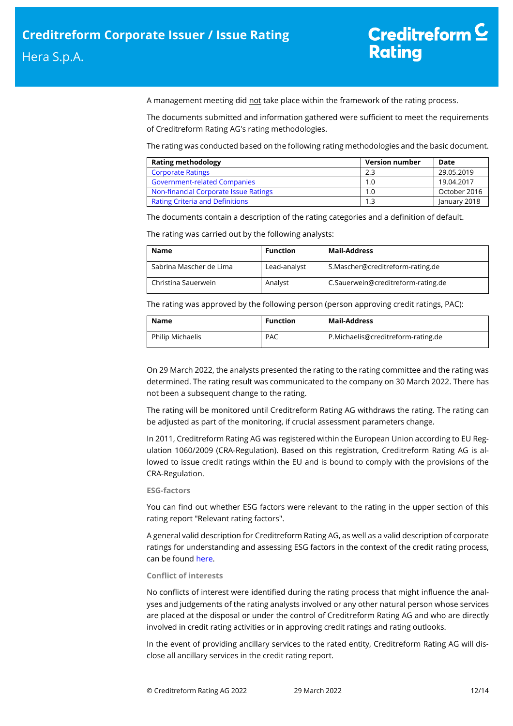A management meeting did not take place within the framework of the rating process.

The documents submitted and information gathered were sufficient to meet the requirements of Creditreform Rating AG's rating methodologies.

The rating was conducted based on the following rating methodologies and the basic document.

| <b>Rating methodology</b>              | <b>Version number</b> | Date         |
|----------------------------------------|-----------------------|--------------|
| <b>Corporate Ratings</b>               | 2.3                   | 29.05.2019   |
| <b>Government-related Companies</b>    | 1.0                   | 19.04.2017   |
| Non-financial Corporate Issue Ratings  | 1.0                   | October 2016 |
| <b>Rating Criteria and Definitions</b> | 1.3                   | January 2018 |

The documents contain a description of the rating categories and a definition of default.

The rating was carried out by the following analysts:

| Name                    | <b>Function</b> | <b>Mail-Address</b>                |
|-------------------------|-----------------|------------------------------------|
| Sabrina Mascher de Lima | Lead-analyst    | S.Mascher@creditreform-rating.de   |
| Christina Sauerwein     | Analyst         | C.Sauerwein@creditreform-rating.de |

The rating was approved by the following person (person approving credit ratings, PAC):

| Name             | <b>Function</b> | Mail-Address                       |
|------------------|-----------------|------------------------------------|
| Philip Michaelis | <b>PAC</b>      | P.Michaelis@creditreform-rating.de |

On 29 March 2022, the analysts presented the rating to the rating committee and the rating was determined. The rating result was communicated to the company on 30 March 2022. There has not been a subsequent change to the rating.

The rating will be monitored until Creditreform Rating AG withdraws the rating. The rating can be adjusted as part of the monitoring, if crucial assessment parameters change.

In 2011, Creditreform Rating AG was registered within the European Union according to EU Regulation 1060/2009 (CRA-Regulation). Based on this registration, Creditreform Rating AG is allowed to issue credit ratings within the EU and is bound to comply with the provisions of the CRA-Regulation.

### **ESG-factors**

You can find out whether ESG factors were relevant to the rating in the upper section of this rating report "Relevant rating factors".

A general valid description for Creditreform Rating AG, as well as a valid description of corporate ratings for understanding and assessing ESG factors in the context of the credit rating process, can be found here.

### **Conflict of interests**

No conflicts of interest were identified during the rating process that might influence the analyses and judgements of the rating analysts involved or any other natural person whose services are placed at the disposal or under the control of Creditreform Rating AG and who are directly involved in credit rating activities or in approving credit ratings and rating outlooks.

In the event of providing ancillary services to the rated entity, Creditreform Rating AG will disclose all ancillary services in the credit rating report.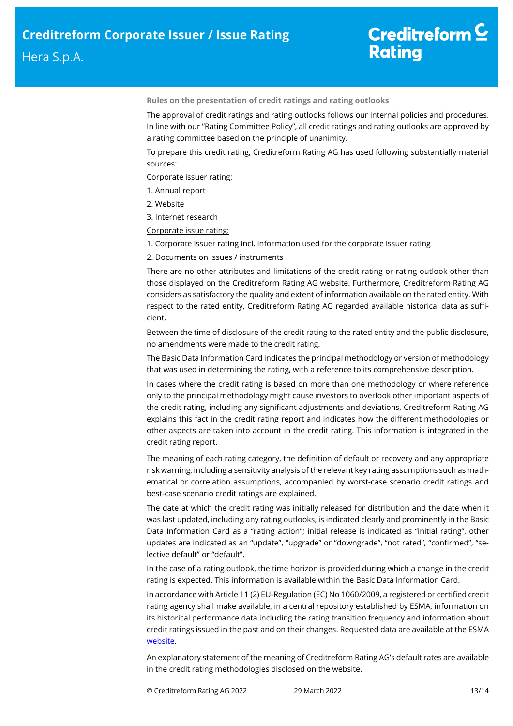## Creditreform  $\underline{\mathsf{C}}$ **Rating**

**Rules on the presentation of credit ratings and rating outlooks** 

The approval of credit ratings and rating outlooks follows our internal policies and procedures. In line with our "Rating Committee Policy", all credit ratings and rating outlooks are approved by a rating committee based on the principle of unanimity.

To prepare this credit rating, Creditreform Rating AG has used following substantially material sources:

Corporate issuer rating:

- 1. Annual report
- 2. Website
- 3. Internet research

Corporate issue rating:

1. Corporate issuer rating incl. information used for the corporate issuer rating

2. Documents on issues / instruments

There are no other attributes and limitations of the credit rating or rating outlook other than those displayed on the Creditreform Rating AG website. Furthermore, Creditreform Rating AG considers as satisfactory the quality and extent of information available on the rated entity. With respect to the rated entity, Creditreform Rating AG regarded available historical data as sufficient.

Between the time of disclosure of the credit rating to the rated entity and the public disclosure, no amendments were made to the credit rating.

The Basic Data Information Card indicates the principal methodology or version of methodology that was used in determining the rating, with a reference to its comprehensive description.

In cases where the credit rating is based on more than one methodology or where reference only to the principal methodology might cause investors to overlook other important aspects of the credit rating, including any significant adjustments and deviations, Creditreform Rating AG explains this fact in the credit rating report and indicates how the different methodologies or other aspects are taken into account in the credit rating. This information is integrated in the credit rating report.

The meaning of each rating category, the definition of default or recovery and any appropriate risk warning, including a sensitivity analysis of the relevant key rating assumptions such as mathematical or correlation assumptions, accompanied by worst-case scenario credit ratings and best-case scenario credit ratings are explained.

The date at which the credit rating was initially released for distribution and the date when it was last updated, including any rating outlooks, is indicated clearly and prominently in the Basic Data Information Card as a "rating action"; initial release is indicated as "initial rating", other updates are indicated as an "update", "upgrade" or "downgrade", "not rated", "confirmed", "selective default" or "default".

In the case of a rating outlook, the time horizon is provided during which a change in the credit rating is expected. This information is available within the Basic Data Information Card.

In accordance with Article 11 (2) EU-Regulation (EC) No 1060/2009, a registered or certified credit rating agency shall make available, in a central repository established by ESMA, information on its historical performance data including the rating transition frequency and information about credit ratings issued in the past and on their changes. Requested data are available at the ESMA website.

An explanatory statement of the meaning of Creditreform Rating AG's default rates are available in the credit rating methodologies disclosed on the website.